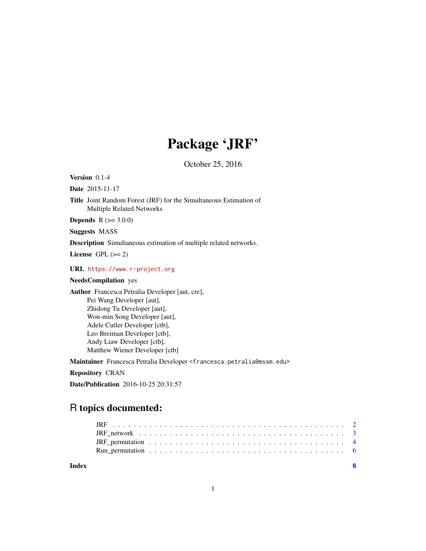## Package 'JRF'

October 25, 2016

Version 0.1-4

Date 2015-11-17

Title Joint Random Forest (JRF) for the Simultaneous Estimation of Multiple Related Networks

**Depends**  $R$  ( $> = 3.0.0$ )

Suggests MASS

Description Simultaneous estimation of multiple related networks.

License GPL  $(>= 2)$ 

URL <https://www.r-project.org>

#### NeedsCompilation yes

Author Francesca Petralia Developer [aut, cre], Pei Wang Developer [aut], Zhidong Tu Developer [aut], Won-min Song Developer [aut], Adele Cutler Developer [ctb], Leo Breiman Developer [ctb], Andy Liaw Developer [ctb], Matthew Wiener Developer [ctb]

Maintainer Francesca Petralia Developer <francesca.petralia@mssm.edu>

Repository CRAN

Date/Publication 2016-10-25 20:31:57

### R topics documented:

**Index** [8](#page-7-0) **8**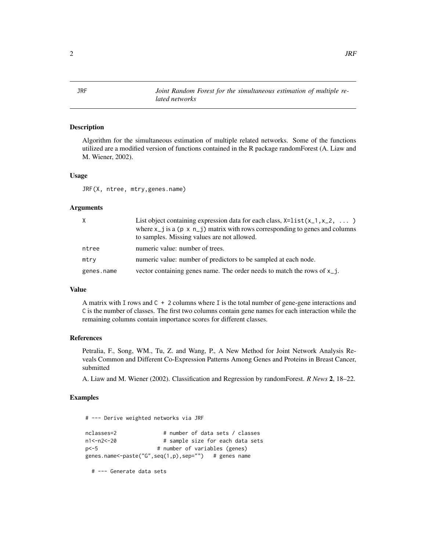<span id="page-1-0"></span>JRF *Joint Random Forest for the simultaneous estimation of multiple related networks*

#### Description

Algorithm for the simultaneous estimation of multiple related networks. Some of the functions utilized are a modified version of functions contained in the R package randomForest (A. Liaw and M. Wiener, 2002).

#### Usage

JRF(X, ntree, mtry,genes.name)

#### Arguments

| $\times$   | List object containing expression data for each class, $x=list(x_1, x_2, \ldots)$        |
|------------|------------------------------------------------------------------------------------------|
|            | where $x_{-}$ i is a (p x $n_{-}$ i) matrix with rows corresponding to genes and columns |
|            | to samples. Missing values are not allowed.                                              |
| ntree      | numeric value: number of trees.                                                          |
| mtry       | numeric value: number of predictors to be sampled at each node.                          |
| genes.name | vector containing genes name. The order needs to match the rows of $x_{i}$ .             |

#### Value

A matrix with I rows and C + 2 columns where I is the total number of gene-gene interactions and C is the number of classes. The first two columns contain gene names for each interaction while the remaining columns contain importance scores for different classes.

#### References

Petralia, F., Song, WM., Tu, Z. and Wang, P., A New Method for Joint Network Analysis Reveals Common and Different Co-Expression Patterns Among Genes and Proteins in Breast Cancer, submitted

A. Liaw and M. Wiener (2002). Classification and Regression by randomForest. *R News* 2, 18–22.

#### Examples

# --- Derive weighted networks via JRF

```
nclasses=2 # number of data sets / classes
n1<-n2<-20 # sample size for each data sets
p <- 5 # number of variables (genes)
genes.name<-paste("G",seq(1,p),sep="") # genes name
```
# --- Generate data sets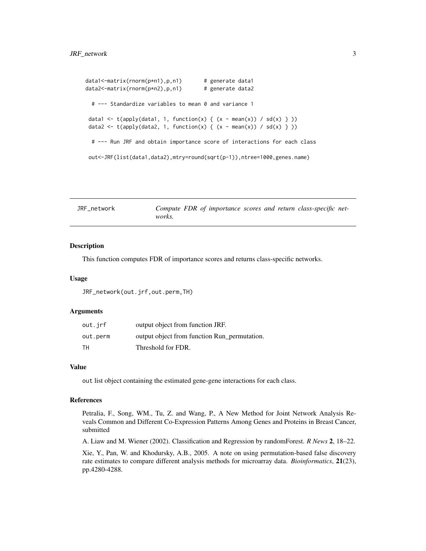```
data1<-matrix(rnorm(p*n1),p,n1) # generate data1
data2<-matrix(rnorm(p*n2),p,n1) # generate data2
 # --- Standardize variables to mean 0 and variance 1
data1 <- t(apply(data1, 1, function(x) { (x - mean(x)) / sd(x) } ))
data2 <- t(apply(data2, 1, function(x) { (x - mean(x)) / sd(x) } ))
 # --- Run JRF and obtain importance score of interactions for each class
out<-JRF(list(data1,data2),mtry=round(sqrt(p-1)),ntree=1000,genes.name)
```
JRF\_network *Compute FDR of importance scores and return class-specific networks.*

#### **Description**

This function computes FDR of importance scores and returns class-specific networks.

#### Usage

JRF\_network(out.jrf,out.perm,TH)

#### Arguments

| out.jrf  | output object from function JRF.             |
|----------|----------------------------------------------|
| out.perm | output object from function Run_permutation. |
| TН       | Threshold for FDR.                           |

#### Value

out list object containing the estimated gene-gene interactions for each class.

#### References

Petralia, F., Song, WM., Tu, Z. and Wang, P., A New Method for Joint Network Analysis Reveals Common and Different Co-Expression Patterns Among Genes and Proteins in Breast Cancer, submitted

A. Liaw and M. Wiener (2002). Classification and Regression by randomForest. *R News* 2, 18–22.

Xie, Y., Pan, W. and Khodursky, A.B., 2005. A note on using permutation-based false discovery rate estimates to compare different analysis methods for microarray data. *Bioinformatics*, 21(23), pp.4280-4288.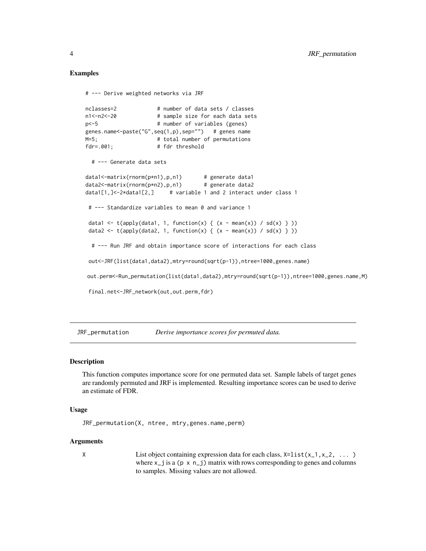#### Examples

```
# --- Derive weighted networks via JRF
nclasses=2 # number of data sets / classes
n1<-n2<-20 # sample size for each data sets
p<-5 # number of variables (genes)
genes.name<-paste("G",seq(1,p),sep="") # genes name
M=5; The # total number of permutations
fdr=.001; # fdr threshold
 # --- Generate data sets
data1<-matrix(rnorm(p*n1),p,n1) # generate data1
data2<-matrix(rnorm(p*n2),p,n1) # generate data2
data1[1,]<-2*data1[2,] # variable 1 and 2 interact under class 1
# --- Standardize variables to mean 0 and variance 1
data1 <- t(apply(data1, 1, function(x) { (x - mean(x)) / sd(x) } ))
data2 <- t(apply(data2, 1, function(x) { (x - mean(x)) / sd(x) } ))
 # --- Run JRF and obtain importance score of interactions for each class
out<-JRF(list(data1,data2),mtry=round(sqrt(p-1)),ntree=1000,genes.name)
out.perm<-Run_permutation(list(data1,data2),mtry=round(sqrt(p-1)),ntree=1000,genes.name,M)
final.net<-JRF_network(out,out.perm,fdr)
```
JRF\_permutation *Derive importance scores for permuted data.*

#### **Description**

This function computes importance score for one permuted data set. Sample labels of target genes are randomly permuted and JRF is implemented. Resulting importance scores can be used to derive an estimate of FDR.

#### Usage

```
JRF_permutation(X, ntree, mtry,genes.name,perm)
```
#### Arguments

- 
- X List object containing expression data for each class,  $x=list(x_1, x_2, \ldots)$ where  $x_j$  is a (p x  $n_j$ ) matrix with rows corresponding to genes and columns to samples. Missing values are not allowed.

<span id="page-3-0"></span>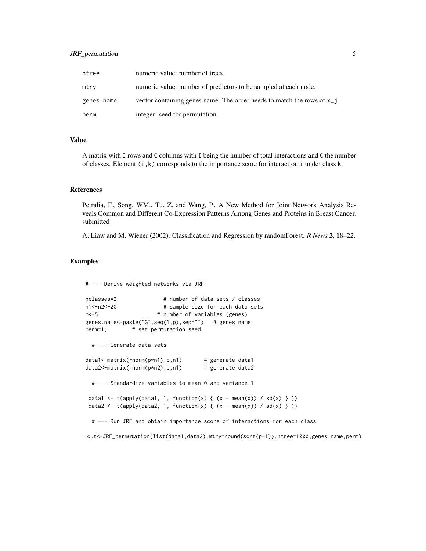#### JRF\_permutation 5

| ntree      | numeric value: number of trees.                                            |
|------------|----------------------------------------------------------------------------|
| mtry       | numeric value: number of predictors to be sampled at each node.            |
| genes.name | vector containing genes name. The order needs to match the rows of $x_i$ . |
| perm       | integer: seed for permutation.                                             |

#### Value

A matrix with I rows and C columns with I being the number of total interactions and C the number of classes. Element  $(i, k)$  corresponds to the importance score for interaction i under class k.

#### References

Petralia, F., Song, WM., Tu, Z. and Wang, P., A New Method for Joint Network Analysis Reveals Common and Different Co-Expression Patterns Among Genes and Proteins in Breast Cancer, submitted

A. Liaw and M. Wiener (2002). Classification and Regression by randomForest. *R News* 2, 18–22.

#### Examples

```
# --- Derive weighted networks via JRF
```

```
nclasses=2 # number of data sets / classes
n1<-n2<-20 # sample size for each data sets
p <- 5 # number of variables (genes)
genes.name<-paste("G",seq(1,p),sep="") # genes name
perm=1; # set permutation seed
 # --- Generate data sets
data1<-matrix(rnorm(p*n1),p,n1) # generate data1
data2<-matrix(rnorm(p*n2),p,n1) # generate data2
 # --- Standardize variables to mean 0 and variance 1
data1 <- t(apply(data1, 1, function(x) { (x - mean(x)) / sd(x) } ))
data2 <- t(apply(data2, 1, function(x) { (x - mean(x)) / sd(x) } ))
 # --- Run JRF and obtain importance score of interactions for each class
```
out<-JRF\_permutation(list(data1,data2),mtry=round(sqrt(p-1)),ntree=1000,genes.name,perm)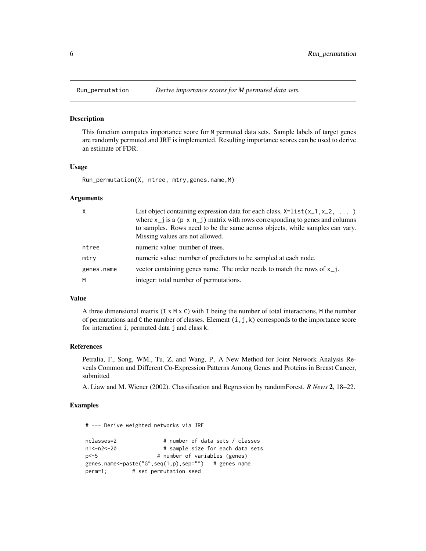<span id="page-5-0"></span>

#### Description

This function computes importance score for M permuted data sets. Sample labels of target genes are randomly permuted and JRF is implemented. Resulting importance scores can be used to derive an estimate of FDR.

#### Usage

Run\_permutation(X, ntree, mtry,genes.name,M)

#### Arguments

| $\times$   | List object containing expression data for each class, $x=list(x_1, x_2, \ldots)$<br>where $x_{-}j$ is a ( $p \times n_{-}j$ ) matrix with rows corresponding to genes and columns<br>to samples. Rows need to be the same across objects, while samples can vary.<br>Missing values are not allowed. |
|------------|-------------------------------------------------------------------------------------------------------------------------------------------------------------------------------------------------------------------------------------------------------------------------------------------------------|
| ntree      | numeric value: number of trees.                                                                                                                                                                                                                                                                       |
| mtry       | numeric value: number of predictors to be sampled at each node.                                                                                                                                                                                                                                       |
| genes.name | vector containing genes name. The order needs to match the rows of $x_{j}$ .                                                                                                                                                                                                                          |
| M          | integer: total number of permutations.                                                                                                                                                                                                                                                                |

#### Value

A three dimensional matrix  $(I \times M \times C)$  with I being the number of total interactions, M the number of permutations and C the number of classes. Element  $(i, j, k)$  corresponds to the importance score for interaction i, permuted data j and class k.

#### References

Petralia, F., Song, WM., Tu, Z. and Wang, P., A New Method for Joint Network Analysis Reveals Common and Different Co-Expression Patterns Among Genes and Proteins in Breast Cancer, submitted

A. Liaw and M. Wiener (2002). Classification and Regression by randomForest. *R News* 2, 18–22.

#### Examples

# --- Derive weighted networks via JRF

```
nclasses=2 # number of data sets / classes
n1<-n2<-20 # sample size for each data sets<br>p<-5 # number of variables (genes)
                       # number of variables (genes)
genes.name<-paste("G",seq(1,p),sep="") # genes name
perm=1; # set permutation seed
```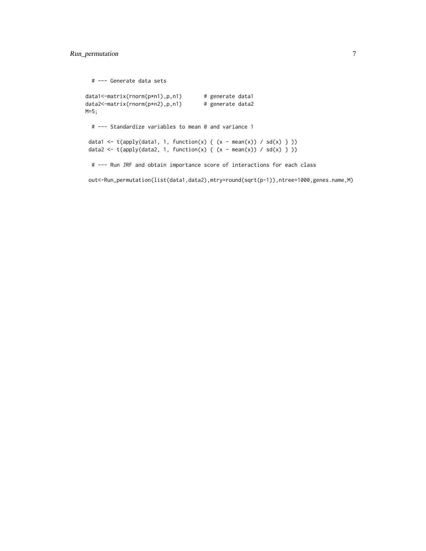# --- Generate data sets

```
data1<-matrix(rnorm(p*n1),p,n1) # generate data1
data2<-matrix(rnorm(p*n2),p,n1) # generate data2
M=5;
 # --- Standardize variables to mean 0 and variance 1
data1 <- t(apply(data1, 1, function(x) { (x - mean(x)) / sd(x) } ))
data2 <- t(apply(data2, 1, function(x) { (x - mean(x)) / sd(x) } ))
 # --- Run JRF and obtain importance score of interactions for each class
```
out<-Run\_permutation(list(data1,data2),mtry=round(sqrt(p-1)),ntree=1000,genes.name,M)